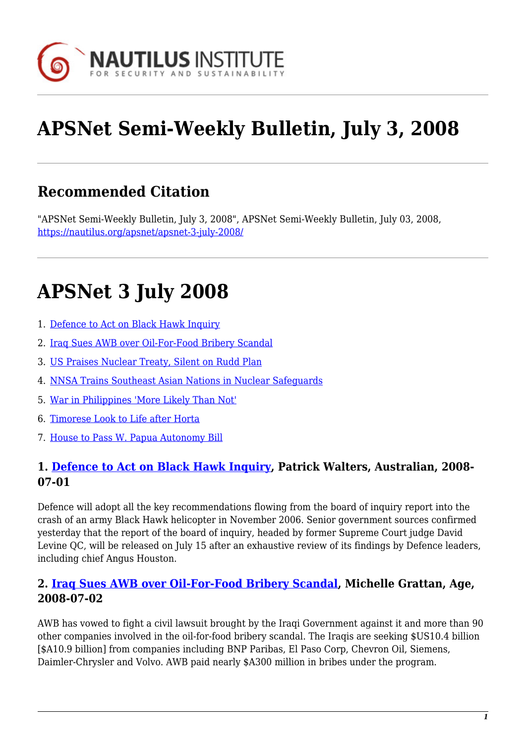

# **APSNet Semi-Weekly Bulletin, July 3, 2008**

# **Recommended Citation**

"APSNet Semi-Weekly Bulletin, July 3, 2008", APSNet Semi-Weekly Bulletin, July 03, 2008, <https://nautilus.org/apsnet/apsnet-3-july-2008/>

# **APSNet 3 July 2008**

- 1. [Defence to Act on Black Hawk Inquiry](#page--1-0)
- 2. [Iraq Sues AWB over Oil-For-Food Bribery Scandal](#page--1-0)
- 3. [US Praises Nuclear Treaty, Silent on Rudd Plan](#page--1-0)
- 4. [NNSA Trains Southeast Asian Nations in Nuclear Safeguards](#page-1-0)
- 5. [War in Philippines 'More Likely Than Not'](#page--1-0)
- 6. [Timorese Look to Life after Horta](#page--1-0)
- 7. [House to Pass W. Papua Autonomy Bill](#page-1-1)

#### **1. [Defence to Act on Black Hawk Inquiry,](http://www.theaustralian.news.com.au/story/0,25197,23949796-31477,00.html) Patrick Walters, Australian, 2008- 07-01**

Defence will adopt all the key recommendations flowing from the board of inquiry report into the crash of an army Black Hawk helicopter in November 2006. Senior government sources confirmed yesterday that the report of the board of inquiry, headed by former Supreme Court judge David Levine QC, will be released on July 15 after an exhaustive review of its findings by Defence leaders, including chief Angus Houston.

#### **2. [Iraq Sues AWB over Oil-For-Food Bribery Scandal,](http://business.theage.com.au/iraq-sues-awb-over-oilforfood-bribery-scandal-20080701-300o.html) Michelle Grattan, Age, 2008-07-02**

AWB has vowed to fight a civil lawsuit brought by the Iraqi Government against it and more than 90 other companies involved in the oil-for-food bribery scandal. The Iraqis are seeking \$US10.4 billion [\$A10.9 billion] from companies including BNP Paribas, El Paso Corp, Chevron Oil, Siemens, Daimler-Chrysler and Volvo. AWB paid nearly \$A300 million in bribes under the program.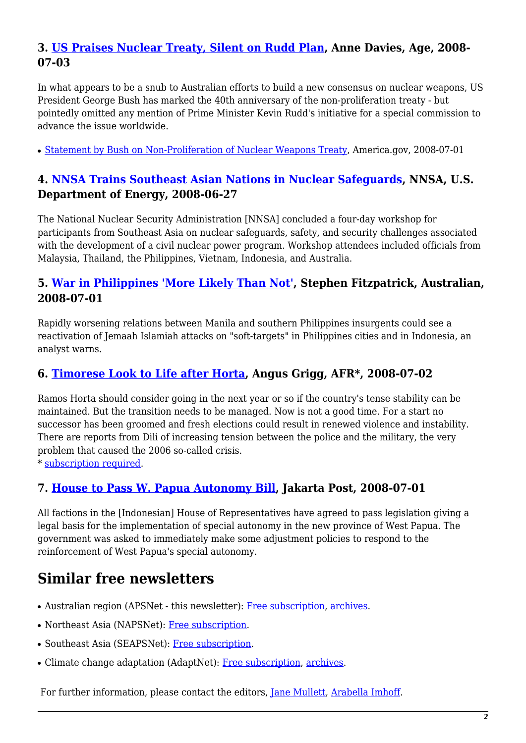### **3. [US Praises Nuclear Treaty, Silent on Rudd Plan](http://www.theage.com.au/world/us-praises-nuclear-treaty-silent-on-rudd-plan-20080702-30oc.html), Anne Davies, Age, 2008- 07-03**

In what appears to be a snub to Australian efforts to build a new consensus on nuclear weapons, US President George Bush has marked the 40th anniversary of the non-proliferation treaty - but pointedly omitted any mention of Prime Minister Kevin Rudd's initiative for a special commission to advance the issue worldwide.

• [Statement by Bush on Non-Proliferation of Nuclear Weapons Treaty](http://www.america.gov/st/texttrans-english/2008/July/20080701141025eaifas0.9588587.html&distid=ucs), America.gov, 2008-07-01

### <span id="page-1-0"></span>**4. [NNSA Trains Southeast Asian Nations in Nuclear Safeguards](http://nnsa.energy.gov/2057.htm), NNSA, U.S. Department of Energy, 2008-06-27**

The National Nuclear Security Administration [NNSA] concluded a four-day workshop for participants from Southeast Asia on nuclear safeguards, safety, and security challenges associated with the development of a civil nuclear power program. Workshop attendees included officials from Malaysia, Thailand, the Philippines, Vietnam, Indonesia, and Australia.

#### **5. [War in Philippines 'More Likely Than Not'](http://www.theaustralian.news.com.au/story/0,25197,23948242-25837,00.html), Stephen Fitzpatrick, Australian, 2008-07-01**

Rapidly worsening relations between Manila and southern Philippines insurgents could see a reactivation of Jemaah Islamiah attacks on "soft-targets" in Philippines cities and in Indonesia, an analyst warns.

## **6. [Timorese Look to Life after Horta,](http://afr.com/home/viewer.aspx?EDP://20080702000020853618&magsection=news-world&source=/_xmlfeeds/world/feed.xml&title=Timorese look to life after Horta) Angus Grigg, AFR\*, 2008-07-02**

Ramos Horta should consider going in the next year or so if the country's tense stability can be maintained. But the transition needs to be managed. Now is not a good time. For a start no successor has been groomed and fresh elections could result in renewed violence and instability. There are reports from Dili of increasing tension between the police and the military, the very problem that caused the 2006 so-called crisis.

\* [subscription required](http://nautilus.org/subscription.html).

#### <span id="page-1-1"></span>**7. [House to Pass W. Papua Autonomy Bill,](http://www.thejakartapost.com/news/2008/07/01/house-pass-w-papua-autonomy-bill.html) Jakarta Post, 2008-07-01**

All factions in the [Indonesian] House of Representatives have agreed to pass legislation giving a legal basis for the implementation of special autonomy in the new province of West Papua. The government was asked to immediately make some adjustment policies to respond to the reinforcement of West Papua's special autonomy.

# **Similar free newsletters**

- Australian region (APSNet this newsletter): [Free subscription,](https://nautilus.org/mailman/listinfo/apsnet) [archives](http://nautilus.org/austral-peace-and-security-network.html).
- Northeast Asia (NAPSNet): [Free subscription](http://nautilus.org/napsnet/dr/index-2.html).
- Southeast Asia (SEAPSNet): [Free subscription](http://www.siiaonline.org/seapsnet).
- Climate change adaptation (AdaptNet): [Free subscription](https://nautilus.org/mailman/listinfo/adaptnet), [archives.](http://nautilus.org/partners/gci/adaptnet.html)

For further information, please contact the editors, [Jane Mullett,](mailto:austral@rmit.edu.au) [Arabella Imhoff](mailto:austral@rmit.edu.au).